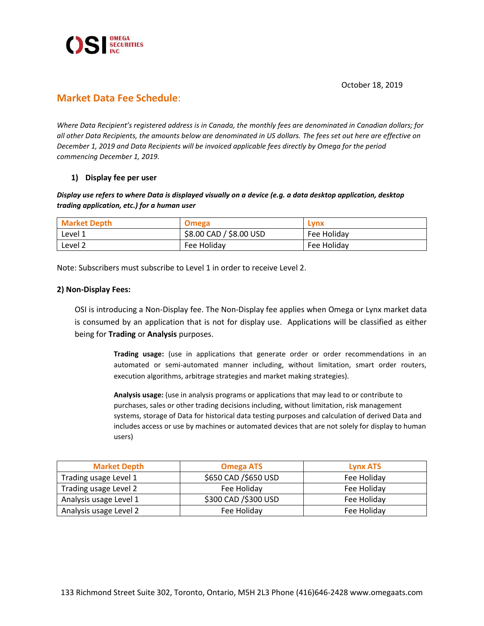



# **Market Data Fee Schedule**:

*Where Data Recipient's registered address is in Canada, the monthly fees are denominated in Canadian dollars; for all other Data Recipients, the amounts below are denominated in US dollars. The fees set out here are effective on December 1, 2019 and Data Recipients will be invoiced applicable fees directly by Omega for the period commencing December 1, 2019.*

## **1) Display fee per user**

### *Display use refers to where Data is displayed visually on a device (e.g. a data desktop application, desktop trading application, etc.) for a human user*

| <b>Market Depth</b> | Omega                   | Lvnx        |
|---------------------|-------------------------|-------------|
| Level 1             | \$8.00 CAD / \$8.00 USD | Fee Holiday |
| Level 2             | Fee Holiday             | Fee Holiday |

Note: Subscribers must subscribe to Level 1 in order to receive Level 2.

### **2) Non-Display Fees:**

OSI is introducing a Non-Display fee. The Non-Display fee applies when Omega or Lynx market data is consumed by an application that is not for display use. Applications will be classified as either being for **Trading** or **Analysis** purposes.

> **Trading usage:** (use in applications that generate order or order recommendations in an automated or semi-automated manner including, without limitation, smart order routers, execution algorithms, arbitrage strategies and market making strategies).

> **Analysis usage:** (use in analysis programs or applications that may lead to or contribute to purchases, sales or other trading decisions including, without limitation, risk management systems, storage of Data for historical data testing purposes and calculation of derived Data and includes access or use by machines or automated devices that are not solely for display to human users)

| <b>Market Depth</b>    | <b>Omega ATS</b>     | <b>Lynx ATS</b> |  |
|------------------------|----------------------|-----------------|--|
| Trading usage Level 1  | \$650 CAD /\$650 USD | Fee Holiday     |  |
| Trading usage Level 2  | Fee Holiday          | Fee Holiday     |  |
| Analysis usage Level 1 | \$300 CAD /\$300 USD | Fee Holiday     |  |
| Analysis usage Level 2 | Fee Holiday          | Fee Holiday     |  |